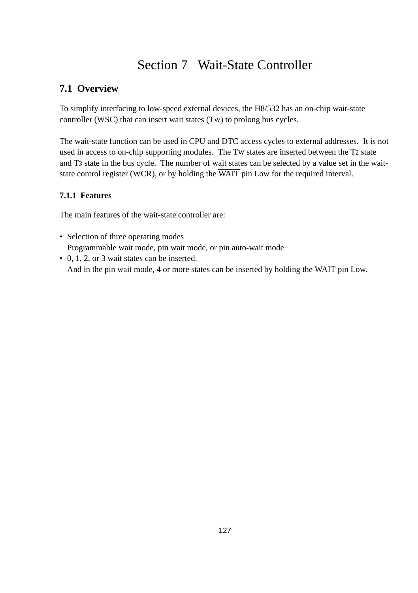# Section 7 Wait-State Controller

# **7.1 Overview**

To simplify interfacing to low-speed external devices, the H8/532 has an on-chip wait-state controller (WSC) that can insert wait states (TW) to prolong bus cycles.

The wait-state function can be used in CPU and DTC access cycles to external addresses. It is not used in access to on-chip supporting modules. The TW states are inserted between the T2 state and T3 state in the bus cycle. The number of wait states can be selected by a value set in the waitstate control register (WCR), or by holding the  $\overline{WAIT}$  pin Low for the required interval.

### **7.1.1 Features**

The main features of the wait-state controller are:

- Selection of three operating modes Programmable wait mode, pin wait mode, or pin auto-wait mode
- 0, 1, 2, or 3 wait states can be inserted. And in the pin wait mode, 4 or more states can be inserted by holding the  $\overline{WAIT}$  pin Low.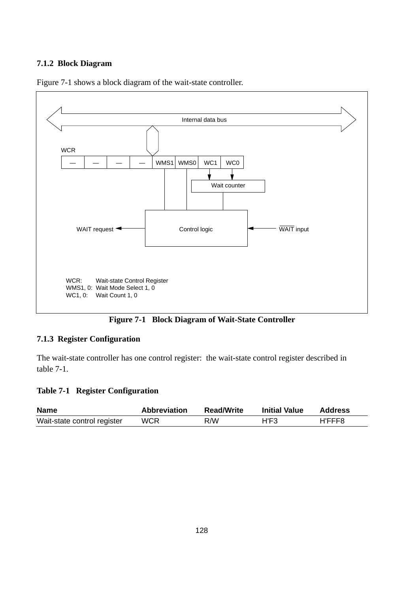### **7.1.2 Block Diagram**



Figure 7-1 shows a block diagram of the wait-state controller.



### **7.1.3 Register Configuration**

The wait-state controller has one control register: the wait-state control register described in table 7-1.

#### **Table 7-1 Register Configuration**

| <b>Name</b>                 | <b>Abbreviation</b> | <b>Read/Write</b> | <b>Initial Value</b> | <b>Address</b> |
|-----------------------------|---------------------|-------------------|----------------------|----------------|
| Wait-state control register | WCR                 | R/W               | H'F3                 | H'FFF8         |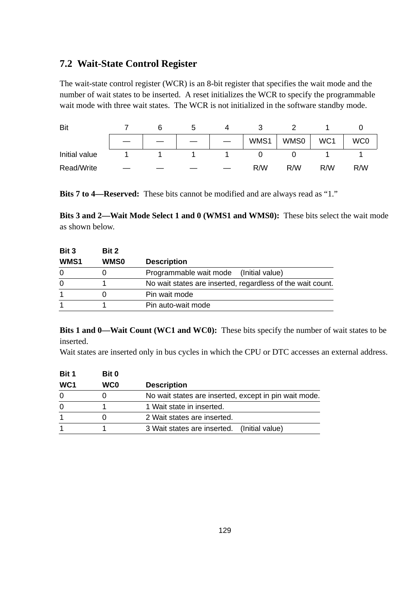### **7.2 Wait-State Control Register**

The wait-state control register (WCR) is an 8-bit register that specifies the wait mode and the number of wait states to be inserted. A reset initializes the WCR to specify the programmable wait mode with three wait states. The WCR is not initialized in the software standby mode.

| Bit           |  | э | 4 |      |      |                 |                 |
|---------------|--|---|---|------|------|-----------------|-----------------|
|               |  |   |   | WMS1 | WMS0 | WC <sub>1</sub> | WC <sub>0</sub> |
| Initial value |  |   |   |      |      |                 |                 |
| Read/Write    |  |   |   | R/W  | R/W  | R/W             | R/W             |

**Bits 7 to 4—Reserved:** These bits cannot be modified and are always read as "1."

**Bits 3 and 2—Wait Mode Select 1 and 0 (WMS1 and WMS0):** These bits select the wait mode as shown below.

| Bit 3            | Bit 2       |                                                            |
|------------------|-------------|------------------------------------------------------------|
| WMS <sub>1</sub> | <b>WMS0</b> | <b>Description</b>                                         |
| 0                |             | Programmable wait mode (Initial value)                     |
| 0                |             | No wait states are inserted, regardless of the wait count. |
|                  |             | Pin wait mode                                              |
|                  |             | Pin auto-wait mode                                         |

**Bits 1 and 0—Wait Count (WC1 and WC0):** These bits specify the number of wait states to be inserted.

Wait states are inserted only in bus cycles in which the CPU or DTC accesses an external address.

| Bit 0           |                                                       |
|-----------------|-------------------------------------------------------|
| WC <sub>0</sub> | <b>Description</b>                                    |
|                 | No wait states are inserted, except in pin wait mode. |
|                 | 1 Wait state in inserted.                             |
|                 | 2 Wait states are inserted.                           |
|                 | 3 Wait states are inserted. (Initial value)           |
|                 |                                                       |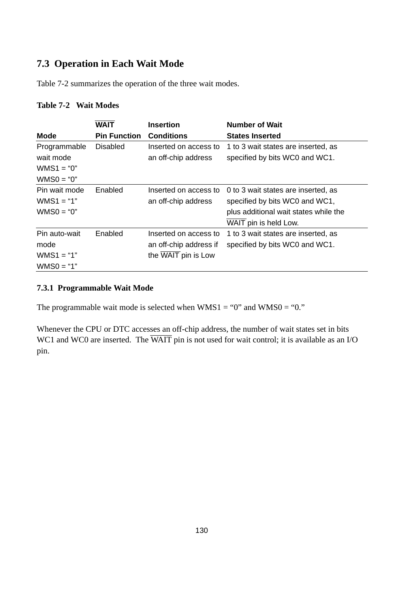## **7.3 Operation in Each Wait Mode**

Table 7-2 summarizes the operation of the three wait modes.

### **Table 7-2 Wait Modes**

| <b>Mode</b>                                               | <b>WAIT</b><br><b>Pin Function</b> | <b>Insertion</b><br><b>Conditions</b>                                  | <b>Number of Wait</b><br><b>States Inserted</b>                                                                                         |
|-----------------------------------------------------------|------------------------------------|------------------------------------------------------------------------|-----------------------------------------------------------------------------------------------------------------------------------------|
| Programmable<br>wait mode<br>$WMS1 = "0"$<br>$WMS0 = "0"$ | <b>Disabled</b>                    | Inserted on access to<br>an off-chip address                           | 1 to 3 wait states are inserted, as<br>specified by bits WC0 and WC1.                                                                   |
| Pin wait mode<br>$WMS1 = "1"$<br>$WMS0 = "0"$             | Enabled                            | Inserted on access to<br>an off-chip address                           | 0 to 3 wait states are inserted, as<br>specified by bits WC0 and WC1,<br>plus additional wait states while the<br>WAIT pin is held Low. |
| Pin auto-wait<br>mode<br>$WMS1 = "1"$<br>$WMS0 = "1"$     | Enabled                            | Inserted on access to<br>an off-chip address if<br>the WAIT pin is Low | 1 to 3 wait states are inserted, as<br>specified by bits WC0 and WC1.                                                                   |

### **7.3.1 Programmable Wait Mode**

The programmable wait mode is selected when  $WMS1 = "0"$  and  $WMS0 = "0."$ 

Whenever the CPU or DTC accesses an off-chip address, the number of wait states set in bits WC1 and WC0 are inserted. The WAIT pin is not used for wait control; it is available as an I/O pin.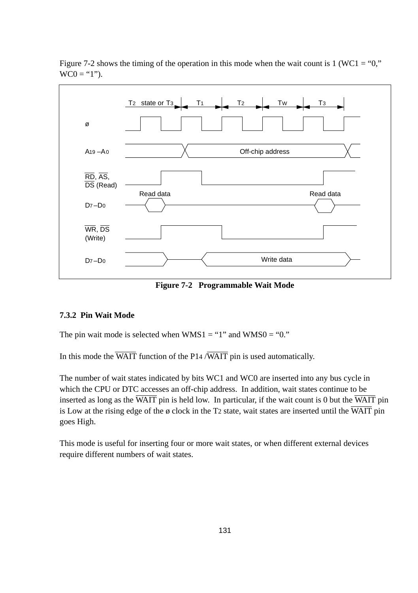

Figure 7-2 shows the timing of the operation in this mode when the wait count is 1 (WC1 = "0,"  $WCO = "1"$ ).

**Figure 7-2 Programmable Wait Mode**

### **7.3.2 Pin Wait Mode**

The pin wait mode is selected when  $WMS1 = "1"$  and  $WMS0 = "0."$ 

In this mode the  $\overline{WAIT}$  function of the P14  $\overline{WAIT}$  pin is used automatically.

The number of wait states indicated by bits WC1 and WC0 are inserted into any bus cycle in which the CPU or DTC accesses an off-chip address. In addition, wait states continue to be inserted as long as the  $\overline{WAIT}$  pin is held low. In particular, if the wait count is 0 but the  $\overline{WAIT}$  pin is Low at the rising edge of the  $\phi$  clock in the T2 state, wait states are inserted until the  $\overline{WAIT}$  pin goes High.

This mode is useful for inserting four or more wait states, or when different external devices require different numbers of wait states.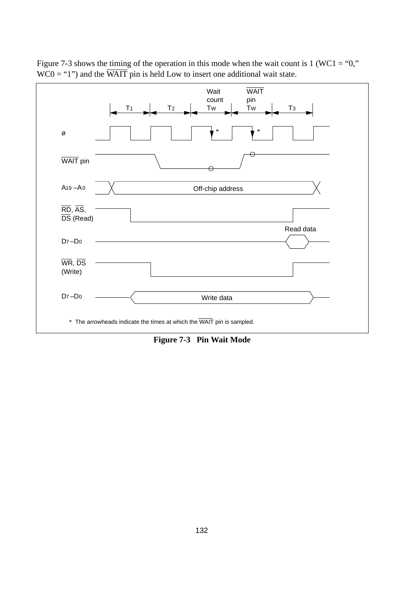

Figure 7-3 shows the timing of the operation in this mode when the wait count is  $1 (WC1 = "0,"$  $WCO = "1"$ ) and the  $\overline{WAIT}$  pin is held Low to insert one additional wait state.

**Figure 7-3 Pin Wait Mode**